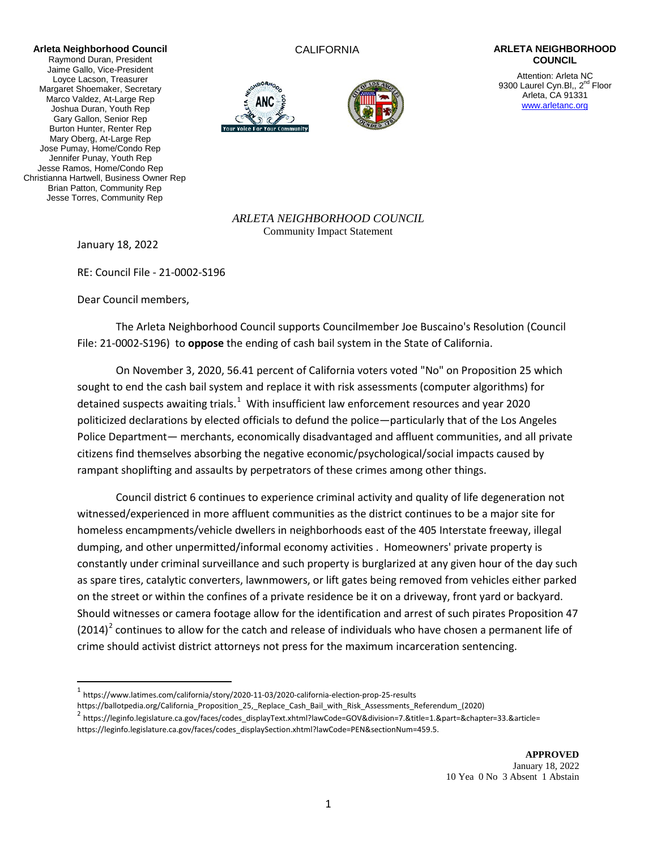**Arleta Neighborhood Council** Raymond Duran, President Jaime Gallo, Vice-President Loyce Lacson, Treasurer Margaret Shoemaker, Secretary Marco Valdez, At-Large Rep Joshua Duran, Youth Rep Gary Gallon, Senior Rep Burton Hunter, Renter Rep Mary Oberg, At-Large Rep Jose Pumay, Home/Condo Rep Jennifer Punay, Youth Rep Jesse Ramos, Home/Condo Rep Christianna Hartwell, Business Owner Rep Brian Patton, Community Rep Jesse Torres, Community Rep





## CALIFORNIA **ARLETA NEIGHBORHOOD COUNCIL**

Attention: Arleta NC 9300 Laurel Cyn.Bl,, 2<sup>nd</sup> Floor Arleta, CA 91331 [www.arletanc.org](http://www.arletanc.org/)

*ARLETA NEIGHBORHOOD COUNCIL* Community Impact Statement

January 18, 2022

RE: Council File - 21-0002-S196

Dear Council members,

The Arleta Neighborhood Council supports Councilmember Joe Buscaino's Resolution (Council File: 21-0002-S196) to **oppose** the ending of cash bail system in the State of California.

On November 3, 2020, 56.41 percent of California voters voted "No" on Proposition 25 which sought to end the cash bail system and replace it with risk assessments (computer algorithms) for detained suspects awaiting trials.<sup>[1](#page-0-0)</sup> With insufficient law enforcement resources and year 2020 politicized declarations by elected officials to defund the police―particularly that of the Los Angeles Police Department― merchants, economically disadvantaged and affluent communities, and all private citizens find themselves absorbing the negative economic/psychological/social impacts caused by rampant shoplifting and assaults by perpetrators of these crimes among other things.

Council district 6 continues to experience criminal activity and quality of life degeneration not witnessed/experienced in more affluent communities as the district continues to be a major site for homeless encampments/vehicle dwellers in neighborhoods east of the 405 Interstate freeway, illegal dumping, and other unpermitted/informal economy activities . Homeowners' private property is constantly under criminal surveillance and such property is burglarized at any given hour of the day such as spare tires, catalytic converters, lawnmowers, or lift gates being removed from vehicles either parked on the street or within the confines of a private residence be it on a driveway, front yard or backyard. Should witnesses or camera footage allow for the identification and arrest of such pirates Proposition 47  $(2014)^2$  $(2014)^2$  $(2014)^2$  continues to allow for the catch and release of individuals who have chosen a permanent life of crime should activist district attorneys not press for the maximum incarceration sentencing.

https://ballotpedia.org/California\_Proposition\_25,\_Replace\_Cash\_Bail\_with\_Risk\_Assessments\_Referendum\_(2020)

<span id="page-0-0"></span> <sup>1</sup> https://www.latimes.com/california/story/2020-11-03/2020-california-election-prop-25-results

<span id="page-0-1"></span><sup>2</sup> https://leginfo.legislature.ca.gov/faces/codes\_displayText.xhtml?lawCode=GOV&division=7.&title=1.&part=&chapter=33.&article= https://leginfo.legislature.ca.gov/faces/codes\_displaySection.xhtml?lawCode=PEN&sectionNum=459.5.